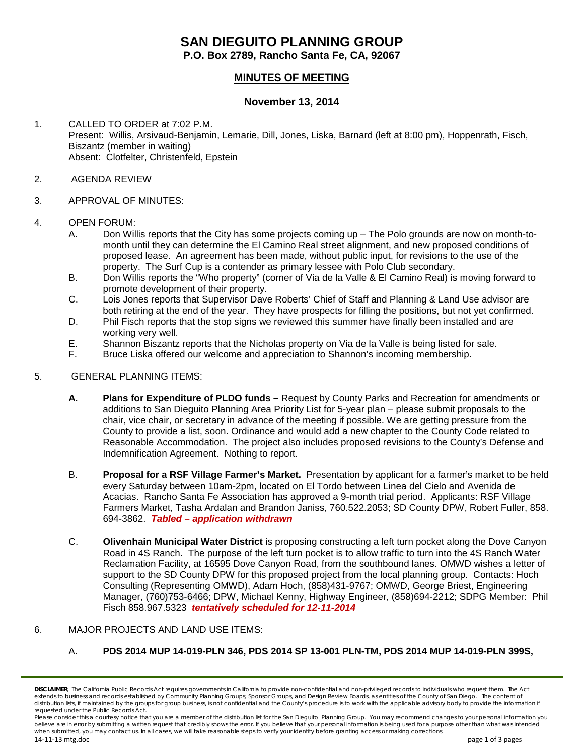# **SAN DIEGUITO PLANNING GROUP**

**P.O. Box 2789, Rancho Santa Fe, CA, 92067**

# **MINUTES OF MEETING**

## **November 13, 2014**

- 1. CALLED TO ORDER at 7:02 P.M. Present: Willis, Arsivaud-Benjamin, Lemarie, Dill, Jones, Liska, Barnard (left at 8:00 pm), Hoppenrath, Fisch, Biszantz (member in waiting) Absent: Clotfelter, Christenfeld, Epstein
- 2. AGENDA REVIEW
- 3. APPROVAL OF MINUTES:
- 4. OPEN FORUM:
	- A. Don Willis reports that the City has some projects coming up The Polo grounds are now on month-tomonth until they can determine the El Camino Real street alignment, and new proposed conditions of proposed lease. An agreement has been made, without public input, for revisions to the use of the property. The Surf Cup is a contender as primary lessee with Polo Club secondary.
	- B. Don Willis reports the "Who property" (corner of Via de la Valle & El Camino Real) is moving forward to promote development of their property.
	- C. Lois Jones reports that Supervisor Dave Roberts' Chief of Staff and Planning & Land Use advisor are both retiring at the end of the year. They have prospects for filling the positions, but not yet confirmed.
	- D. Phil Fisch reports that the stop signs we reviewed this summer have finally been installed and are working very well.
	- E. Shannon Biszantz reports that the Nicholas property on Via de la Valle is being listed for sale.
	- F. Bruce Liska offered our welcome and appreciation to Shannon's incoming membership.

#### 5. GENERAL PLANNING ITEMS:

- **A. Plans for Expenditure of PLDO funds –** Request by County Parks and Recreation for amendments or additions to San Dieguito Planning Area Priority List for 5-year plan – please submit proposals to the chair, vice chair, or secretary in advance of the meeting if possible. We are getting pressure from the County to provide a list, soon. Ordinance and would add a new chapter to the County Code related to Reasonable Accommodation. The project also includes proposed revisions to the County's Defense and Indemnification Agreement. Nothing to report.
- B. **Proposal for a RSF Village Farmer's Market.** Presentation by applicant for a farmer's market to be held every Saturday between 10am-2pm, located on El Tordo between Linea del Cielo and Avenida de Acacias. Rancho Santa Fe Association has approved a 9-month trial period. Applicants: RSF Village Farmers Market, Tasha Ardalan and Brandon Janiss, 760.522.2053; SD County DPW, Robert Fuller, 858. 694-3862.*Tabled – application withdrawn*
- C. **Olivenhain Municipal Water District** is proposing constructing a left turn pocket along the Dove Canyon Road in 4S Ranch. The purpose of the left turn pocket is to allow traffic to turn into the 4S Ranch Water Reclamation Facility, at 16595 Dove Canyon Road, from the southbound lanes. OMWD wishes a letter of support to the SD County DPW for this proposed project from the local planning group. Contacts: Hoch Consulting (Representing OMWD), Adam Hoch, (858)431-9767; OMWD, George Briest, Engineering Manager, (760)753-6466; DPW, Michael Kenny, Highway Engineer, (858)694-2212; SDPG Member: Phil Fisch 858.967.5323 *tentatively scheduled for 12-11-2014*

#### 6. MAJOR PROJECTS AND LAND USE ITEMS:

A. **PDS 2014 MUP 14-019-PLN 346, PDS 2014 SP 13-001 PLN-TM, PDS 2014 MUP 14-019-PLN 399S,** 

*Please consider this a courtesy notice that you are a member of the distribution list for the San Dieguito Planning Group. You may recommend changes to your personal information you*  believe are in error by submitting a written request that credibly shows the error. If you believe that your personal information is being used for a purpose other than what was intended *when submitted, you may contact us. In all cases, we will take reasonable steps to verify your identity before granting access or making corrections.*

*DISCLAIMER; The California Public Records Act requires governments in California to provide non-confidential and non-privileged records to individuals who request them. The Act extends to business and records established by Community Planning Groups, Sponsor Groups, and Design Review Boards, as entities of the County of San Diego. The content of*  distribution lists, if maintained by the groups for group business, is not confidential and the County's procedure is to work with the applicable advisory body to provide the information if *requested under the Public Records Act.*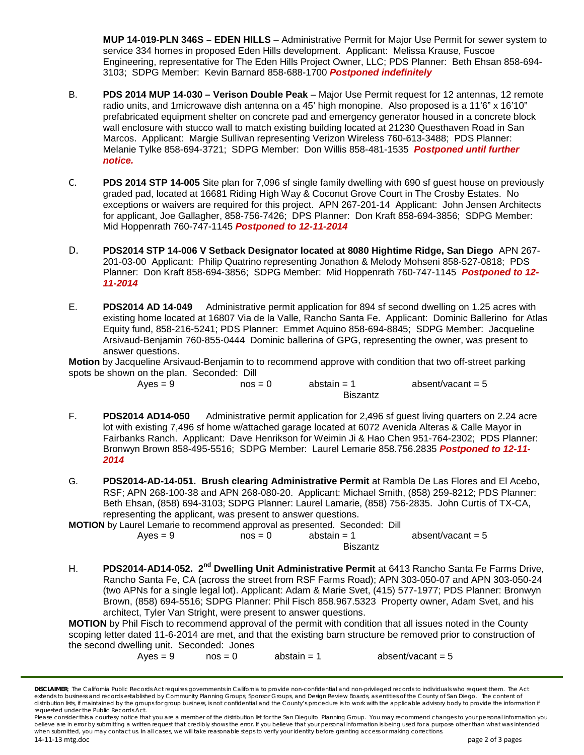**MUP 14-019-PLN 346S – EDEN HILLS** – Administrative Permit for Major Use Permit for sewer system to service 334 homes in proposed Eden Hills development. Applicant: Melissa Krause, Fuscoe Engineering, representative for The Eden Hills Project Owner, LLC; PDS Planner: Beth Ehsan 858-694- 3103; SDPG Member: Kevin Barnard 858-688-1700 *Postponed indefinitely*

- B. **PDS 2014 MUP 14-030 – Verison Double Peak** Major Use Permit request for 12 antennas, 12 remote radio units, and 1 microwave dish antenna on a 45' high monopine. Also proposed is a 11'6" x 16'10" prefabricated equipment shelter on concrete pad and emergency generator housed in a concrete block wall enclosure with stucco wall to match existing building located at 21230 Questhaven Road in San Marcos. Applicant: Margie Sullivan representing Verizon Wireless 760-613-3488; PDS Planner: Melanie Tylke 858-694-3721; SDPG Member: Don Willis 858-481-1535 *Postponed until further notice.*
- C. **PDS 2014 STP 14-005** Site plan for 7,096 sf single family dwelling with 690 sf guest house on previously graded pad, located at 16681 Riding High Way & Coconut Grove Court in The Crosby Estates. No exceptions or waivers are required for this project. APN 267-201-14 Applicant: John Jensen Architects for applicant, Joe Gallagher, 858-756-7426; DPS Planner: Don Kraft 858-694-3856; SDPG Member: Mid Hoppenrath 760-747-1145 *Postponed to 12-11-2014*
- D. **PDS2014 STP 14-006 V Setback Designator located at 8080 Hightime Ridge, San Diego** APN 267- 201-03-00 Applicant: Philip Quatrino representing Jonathon & Melody Mohseni 858-527-0818; PDS Planner: Don Kraft 858-694-3856; SDPG Member: Mid Hoppenrath 760-747-1145 *Postponed to 12- 11-2014*
- E. **PDS2014 AD 14-049** Administrative permit application for 894 sf second dwelling on 1.25 acres with existing home located at 16807 Via de la Valle, Rancho Santa Fe. Applicant: Dominic Ballerino for Atlas Equity fund, 858-216-5241; PDS Planner: Emmet Aquino 858-694-8845; SDPG Member: Jacqueline Arsivaud-Benjamin 760-855-0444 Dominic ballerina of GPG, representing the owner, was present to answer questions.

**Motion** by Jacqueline Arsivaud-Benjamin to to recommend approve with condition that two off-street parking spots be shown on the plan. Seconded: Dill

> $Ayes = 9$   $nos = 0$   $abstain = 1$   $absent/vacant = 5$ Biszantz

- F. **PDS2014 AD14-050** Administrative permit application for 2,496 sf guest living quarters on 2.24 acre lot with existing 7,496 sf home w/attached garage located at 6072 Avenida Alteras & Calle Mayor in Fairbanks Ranch. Applicant: Dave Henrikson for Weimin Ji & Hao Chen 951-764-2302; PDS Planner: Bronwyn Brown 858-495-5516; SDPG Member: Laurel Lemarie 858.756.2835 *Postponed to 12-11- 2014*
- G. **PDS2014-AD-14-051. Brush clearing Administrative Permit** at Rambla De Las Flores and El Acebo, RSF; APN 268-100-38 and APN 268-080-20. Applicant: Michael Smith, (858) 259-8212; PDS Planner: Beth Ehsan, (858) 694-3103; SDPG Planner: Laurel Lamarie, (858) 756-2835. John Curtis of TX-CA, representing the applicant, was present to answer questions.

**MOTION** by Laurel Lemarie to recommend approval as presented. Seconded: Dill

 $Ayes = 9$  nos = 0 abstain = 1 absent/vacant = 5 Biszantz

H. **PDS2014-AD14-052. 2nd Dwelling Unit Administrative Permit** at 6413 Rancho Santa Fe Farms Drive, Rancho Santa Fe, CA (across the street from RSF Farms Road); APN 303-050-07 and APN 303-050-24 (two APNs for a single legal lot). Applicant: Adam & Marie Svet, (415) 577-1977; PDS Planner: Bronwyn Brown, (858) 694-5516; SDPG Planner: Phil Fisch 858.967.5323 Property owner, Adam Svet, and his architect, Tyler Van Stright, were present to answer questions.

**MOTION** by Phil Fisch to recommend approval of the permit with condition that all issues noted in the County scoping letter dated 11-6-2014 are met, and that the existing barn structure be removed prior to construction of the second dwelling unit. Seconded: Jones

 $Ayes = 9$  nos = 0 abstain = 1 absent/vacant = 5

*DISCLAIMER; The California Public Records Act requires governments in California to provide non-confidential and non-privileged records to individuals who request them. The Act extends to business and records established by Community Planning Groups, Sponsor Groups, and Design Review Boards, as entities of the County of San Diego. The content of*  distribution lists, if maintained by the groups for group business, is not confidential and the County's procedure is to work with the applicable advisory body to provide the information if *requested under the Public Records Act.*

*Please consider this a courtesy notice that you are a member of the distribution list for the San Dieguito Planning Group. You may recommend changes to your personal information you*  believe are in error by submitting a written request that credibly shows the error. If you believe that your personal information is being used for a purpose other than what was intended *when submitted, you may contact us. In all cases, we will take reasonable steps to verify your identity before granting access or making corrections.*